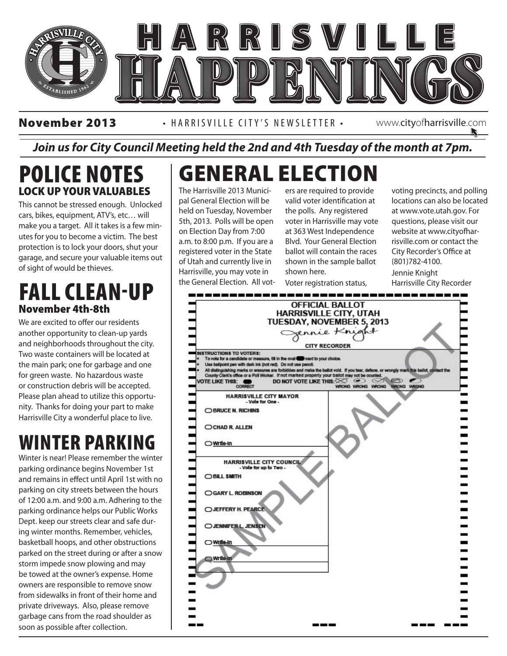

November 2013 • HARRISVILLE CITY'S NEWSLETTER • www.cityofharrisville.com

#### *Join us for City Council Meeting held the 2nd and 4th Tuesday of the month at 7pm.*

#### POLICE NOTES LOCK UP YOUR VALUABLES

This cannot be stressed enough. Unlocked cars, bikes, equipment, ATV's, etc… will make you a target. All it takes is a few minutes for you to become a victim. The best protection is to lock your doors, shut your garage, and secure your valuable items out of sight of would be thieves.

#### FALL CLEAN-UP November 4th-8th

We are excited to offer our residents another opportunity to clean-up yards and neighborhoods throughout the city. Two waste containers will be located at the main park; one for garbage and one for green waste. No hazardous waste or construction debris will be accepted. Please plan ahead to utilize this opportunity. Thanks for doing your part to make Harrisville City a wonderful place to live.

### WINTER PARKING

Winter is near! Please remember the winter parking ordinance begins November 1st and remains in effect until April 1st with no parking on city streets between the hours of 12:00 a.m. and 9:00 a.m. Adhering to the parking ordinance helps our Public Works Dept. keep our streets clear and safe during winter months. Remember, vehicles, basketball hoops, and other obstructions parked on the street during or after a snow storm impede snow plowing and may be towed at the owner's expense. Home owners are responsible to remove snow from sidewalks in front of their home and private driveways. Also, please remove garbage cans from the road shoulder as soon as possible after collection.

### GENERAL ELECTION

The Harrisville 2013 Municipal General Election will be held on Tuesday, November 5th, 2013. Polls will be open on Election Day from 7:00 a.m. to 8:00 p.m. If you are a registered voter in the State of Utah and currently live in Harrisville, you may vote in the General Election. All voters are required to provide valid voter identification at the polls. Any registered voter in Harrisville may vote at 363 West Independence Blvd. Your General Election ballot will contain the races shown in the sample ballot shown here.

voting precincts, and polling locations can also be located at www.vote.utah.gov. For questions, please visit our website at www.cityofharrisville.com or contact the City Recorder's Office at (801)782-4100. Jennie Knight

Harrisville City Recorder

Voter registration status,